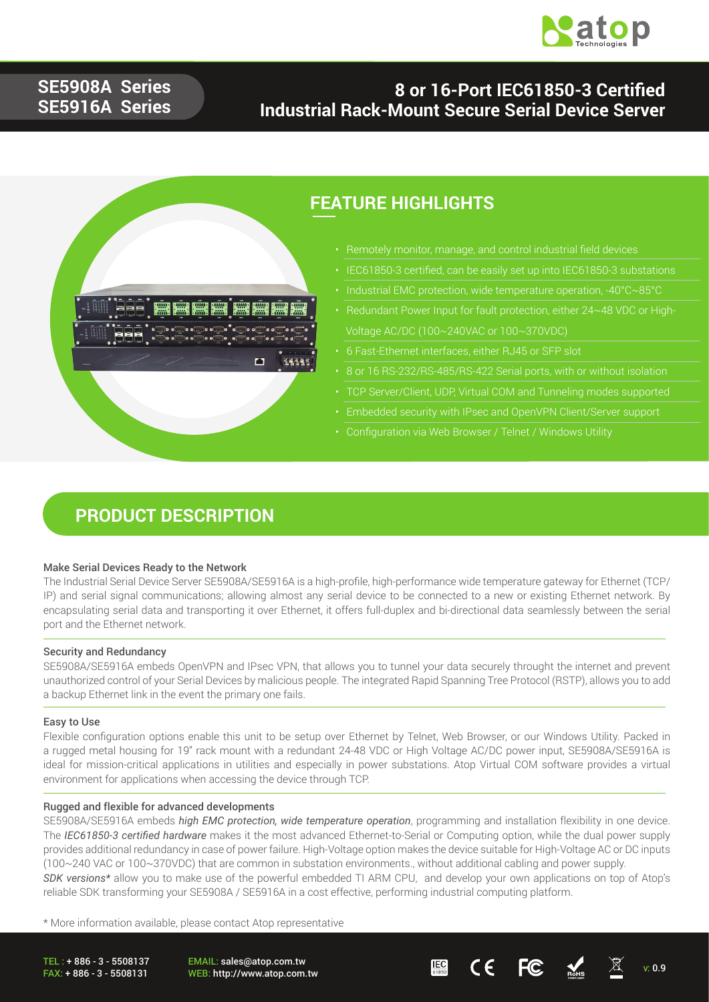

## **SE5908A Series SE5916A Series**

## **8 or 16-Port IEC61850-3 Certified Industrial Rack-Mount Secure Serial Device Server**



## **FEATURE HIGHLIGHTS**

- Remotely monitor, manage, and control industrial field devices
- IEC61850-3 certified, can be easily set up into IEC61850-3 substations
- 
- Redundant Power Input for fault protection, either 24~48 VDC or High- Voltage AC/DC (100~240VAC or 100~370VDC)
- 6 Fast-Ethernet interfaces, either RJ45 or SFP slot
- 8 or 16 RS-232/RS-485/RS-422 Serial ports, with or without isolation
- TCP Server/Client, UDP, Virtual COM and Tunneling modes supported
- Embedded security with IPsec and OpenVPN Client/Server support
- 

## **PRODUCT DESCRIPTION**

#### Make Serial Devices Ready to the Network

The Industrial Serial Device Server SE5908A/SE5916A is a high-profile, high-performance wide temperature gateway for Ethernet (TCP/ IP) and serial signal communications; allowing almost any serial device to be connected to a new or existing Ethernet network. By encapsulating serial data and transporting it over Ethernet, it offers full-duplex and bi-directional data seamlessly between the serial port and the Ethernet network.

#### Security and Redundancy

SE5908A/SE5916A embeds OpenVPN and IPsec VPN, that allows you to tunnel your data securely throught the internet and prevent unauthorized control of your Serial Devices by malicious people. The integrated Rapid Spanning Tree Protocol (RSTP), allows you to add a backup Ethernet link in the event the primary one fails.

#### Easy to Use

Flexible configuration options enable this unit to be setup over Ethernet by Telnet, Web Browser, or our Windows Utility. Packed in a rugged metal housing for 19" rack mount with a redundant 24-48 VDC or High Voltage AC/DC power input, SE5908A/SE5916A is ideal for mission-critical applications in utilities and especially in power substations. Atop Virtual COM software provides a virtual environment for applications when accessing the device through TCP.

#### Rugged and flexible for advanced developments

SE5908A/SE5916A embeds *high EMC protection, wide temperature operation*, programming and installation flexibility in one device. The *IEC61850-3 certified hardware* makes it the most advanced Ethernet-to-Serial or Computing option, while the dual power supply provides additional redundancy in case of power failure. High-Voltage option makes the device suitable for High-Voltage AC or DC inputs (100~240 VAC or 100~370VDC) that are common in substation environments., without additional cabling and power supply. *SDK versions\** allow you to make use of the powerful embedded TI ARM CPU, and develop your own applications on top of Atop's reliable SDK transforming your SE5908A / SE5916A in a cost effective, performing industrial computing platform.

\* More information available, please contact Atop representative

TEL : + 886 - 3 - 5508137 FAX: + 886 - 3 - 5508131

EMAIL: sales@atop.com.tw

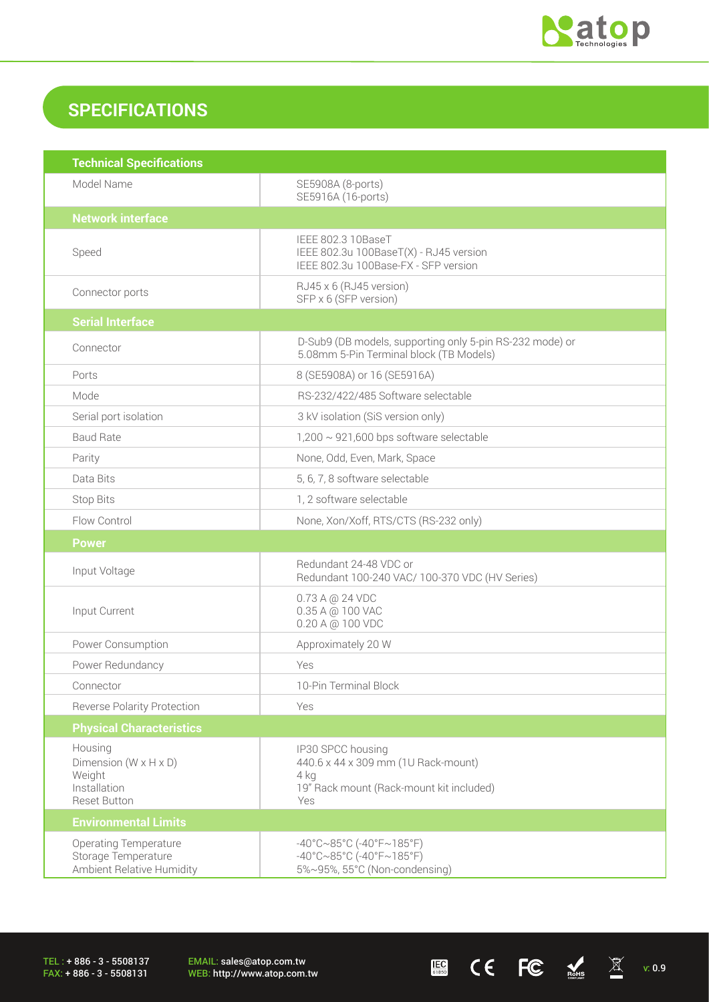

 $\begin{array}{ccccc} \mathbf{E} & \mathbf{C} & \mathbf{C} & \mathbf{C} & \mathbb{R}^{H.S.} & \mathbb{R} & \mathbb{R}^{H.S.} \end{array}$ 

## **SPECIFICATIONS**

| <b>Technical Specifications</b>                                                                 |                                                                                                                                       |  |  |
|-------------------------------------------------------------------------------------------------|---------------------------------------------------------------------------------------------------------------------------------------|--|--|
| Model Name                                                                                      | SE5908A (8-ports)<br>SE5916A (16-ports)                                                                                               |  |  |
| <b>Network interface</b>                                                                        |                                                                                                                                       |  |  |
| Speed                                                                                           | IEEE 802.3 10BaseT<br>IEEE 802.3u 100BaseT(X) - RJ45 version<br>IEEE 802.3u 100Base-FX - SFP version                                  |  |  |
| Connector ports                                                                                 | RJ45 x 6 (RJ45 version)<br>SFP x 6 (SFP version)                                                                                      |  |  |
| <b>Serial Interface</b>                                                                         |                                                                                                                                       |  |  |
| Connector                                                                                       | D-Sub9 (DB models, supporting only 5-pin RS-232 mode) or<br>5.08mm 5-Pin Terminal block (TB Models)                                   |  |  |
| Ports                                                                                           | 8 (SE5908A) or 16 (SE5916A)                                                                                                           |  |  |
| Mode                                                                                            | RS-232/422/485 Software selectable                                                                                                    |  |  |
| Serial port isolation                                                                           | 3 kV isolation (SiS version only)                                                                                                     |  |  |
| <b>Baud Rate</b>                                                                                | $1,200 \sim 921,600$ bps software selectable                                                                                          |  |  |
| Parity                                                                                          | None, Odd, Even, Mark, Space                                                                                                          |  |  |
| Data Bits                                                                                       | 5, 6, 7, 8 software selectable                                                                                                        |  |  |
| <b>Stop Bits</b>                                                                                | 1, 2 software selectable                                                                                                              |  |  |
| Flow Control                                                                                    | None, Xon/Xoff, RTS/CTS (RS-232 only)                                                                                                 |  |  |
| <b>Power</b>                                                                                    |                                                                                                                                       |  |  |
| Input Voltage                                                                                   | Redundant 24-48 VDC or<br>Redundant 100-240 VAC/ 100-370 VDC (HV Series)                                                              |  |  |
| Input Current                                                                                   | 0.73 A @ 24 VDC<br>0.35 A @ 100 VAC<br>0.20 A @ 100 VDC                                                                               |  |  |
| Power Consumption                                                                               | Approximately 20 W                                                                                                                    |  |  |
| Power Redundancy                                                                                | Yes                                                                                                                                   |  |  |
| Connector                                                                                       | 10-Pin Terminal Block                                                                                                                 |  |  |
| <b>Reverse Polarity Protection</b>                                                              | Yes                                                                                                                                   |  |  |
| <b>Physical Characteristics</b>                                                                 |                                                                                                                                       |  |  |
| Housing<br>Dimension ( $W \times H \times D$ )<br>Weight<br>Installation<br><b>Reset Button</b> | IP30 SPCC housing<br>440.6 x 44 x 309 mm (1U Rack-mount)<br>4 kg<br>19" Rack mount (Rack-mount kit included)<br>Yes                   |  |  |
| <b>Environmental Limits</b>                                                                     |                                                                                                                                       |  |  |
| <b>Operating Temperature</b><br>Storage Temperature<br>Ambient Relative Humidity                | $-40^{\circ}$ C $\sim$ 85°C (-40°F $\sim$ 185°F)<br>$-40^{\circ}$ C $\sim$ 85°C (-40°F $\sim$ 185°F)<br>5%~95%, 55°C (Non-condensing) |  |  |

TEL : + 886 - 3 - 5508137 FAX: + 886 - 3 - 5508131

EMAIL: sales@atop.com.tw<br>WEB: http://www.atop.com.tw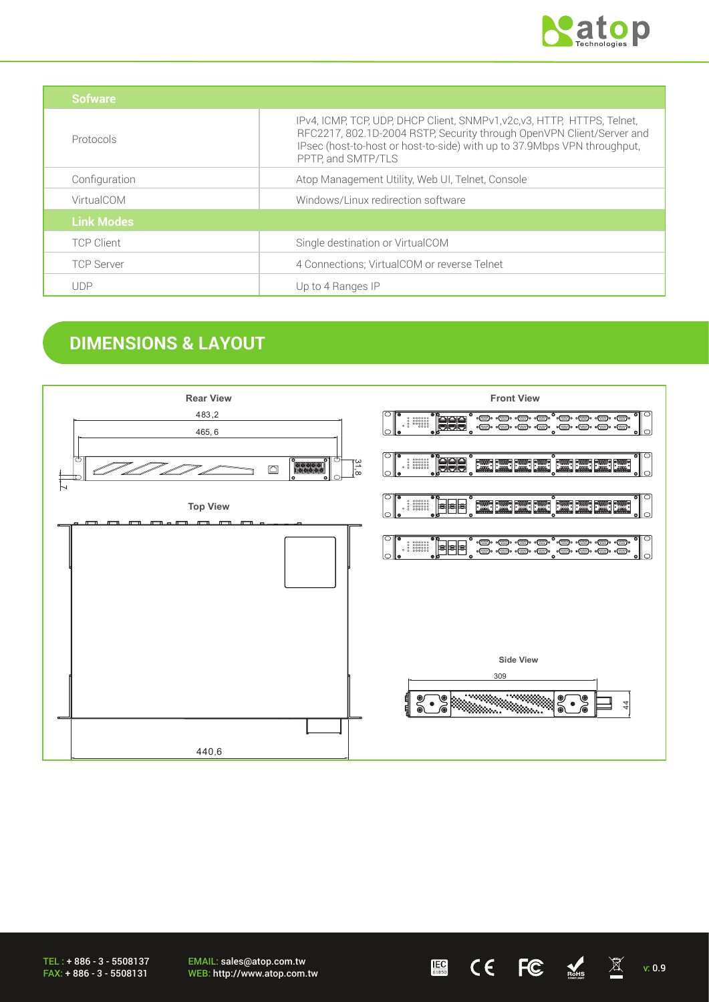

| Sofware           |                                                                                                                                                                                                                                                     |  |
|-------------------|-----------------------------------------------------------------------------------------------------------------------------------------------------------------------------------------------------------------------------------------------------|--|
| Protocols         | IPv4, ICMP, TCP, UDP, DHCP Client, SNMPv1, v2c, v3, HTTP, HTTPS, Telnet,<br>RFC2217, 802.1D-2004 RSTP, Security through OpenVPN Client/Server and<br>IPsec (host-to-host or host-to-side) with up to 37.9Mbps VPN throughput,<br>PPTP, and SMTP/TLS |  |
| Configuration     | Atop Management Utility, Web UI, Telnet, Console                                                                                                                                                                                                    |  |
| VirtualCOM        | Windows/Linux redirection software                                                                                                                                                                                                                  |  |
| <b>Link Modes</b> |                                                                                                                                                                                                                                                     |  |
| <b>TCP Client</b> | Single destination or VirtualCOM                                                                                                                                                                                                                    |  |
| <b>TCP Server</b> | 4 Connections; VirtualCOM or reverse Telnet                                                                                                                                                                                                         |  |
| <b>UDP</b>        | Up to 4 Ranges IP                                                                                                                                                                                                                                   |  |

## **DIMENSIONS & LAYOUT**



TEL : + 886 - 3 - 5508137 FAX: + 886 - 3 - 5508131

EMAIL: sales@atop.com.tw WEB: http://www.atop.com.tw v: 0.9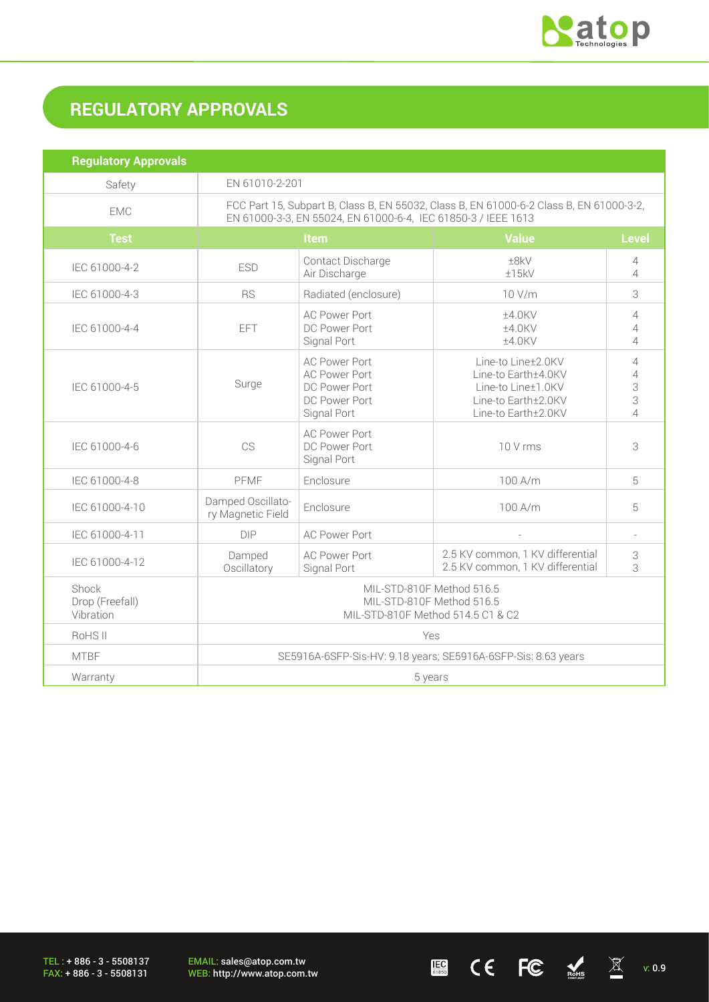

 $\underline{\mathbb{E}}$  (  $\overline{\mathbb{E}}$   $\overline{\mathbb{E}}$   $\overline{\mathbb{E}}$   $\overline{\mathbb{E}}$   $\overline{\mathbb{E}}$   $\mathbb{E}$   $\overline{\mathbb{E}}$   $\mathbb{E}$   $\overline{\mathbb{E}}$   $\mathbb{E}$   $\mathbb{E}$   $\overline{\mathbb{E}}$   $\mathbb{E}$   $\mathbb{E}$   $\overline{\mathbb{E}}$   $\mathbb{E}$   $\overline{\mathbb{E}}$   $\mathbb{E}$   $\overline{\mathbb{E}}$   $\over$ 

# **REGULATORY APPROVALS**

| <b>Regulatory Approvals</b>           |                                                                                                                                                          |                                                                                               |                                                                                                               |                                                 |
|---------------------------------------|----------------------------------------------------------------------------------------------------------------------------------------------------------|-----------------------------------------------------------------------------------------------|---------------------------------------------------------------------------------------------------------------|-------------------------------------------------|
| Safety                                | EN 61010-2-201                                                                                                                                           |                                                                                               |                                                                                                               |                                                 |
| <b>EMC</b>                            | FCC Part 15, Subpart B, Class B, EN 55032, Class B, EN 61000-6-2 Class B, EN 61000-3-2,<br>EN 61000-3-3, EN 55024, EN 61000-6-4, IEC 61850-3 / IEEE 1613 |                                                                                               |                                                                                                               |                                                 |
| <b>Test</b>                           | <b>Value</b><br><b>Item</b>                                                                                                                              |                                                                                               | <b>Level</b>                                                                                                  |                                                 |
| IEC 61000-4-2                         | <b>ESD</b>                                                                                                                                               | Contact Discharge<br>Air Discharge                                                            | ±8kV<br>±15kV                                                                                                 | 4<br>$\overline{\mathcal{A}}$                   |
| IEC 61000-4-3                         | <b>RS</b>                                                                                                                                                | Radiated (enclosure)                                                                          | 10 V/m                                                                                                        | 3                                               |
| IEC 61000-4-4                         | EFT                                                                                                                                                      | <b>AC Power Port</b><br>DC Power Port<br>Signal Port                                          | ±4.0KV<br>±4.0KV<br>±4.0KV                                                                                    | 4<br>4<br>$\overline{4}$                        |
| IEC 61000-4-5                         | Surge                                                                                                                                                    | <b>AC Power Port</b><br><b>AC Power Port</b><br>DC Power Port<br>DC Power Port<br>Signal Port | Line-to Line±2.0KV<br>Line-to Earth±4.0KV<br>Line-to Line±1.0KV<br>Line-to Earth±2.0KV<br>Line-to Earth±2.0KV | 4<br>$\overline{4}$<br>3<br>3<br>$\overline{4}$ |
| IEC 61000-4-6                         | CS                                                                                                                                                       | <b>AC Power Port</b><br>DC Power Port<br>Signal Port                                          | 10 V rms                                                                                                      | 3                                               |
| IEC 61000-4-8                         | PFMF                                                                                                                                                     | Enclosure                                                                                     | 100 A/m                                                                                                       | 5                                               |
| IEC 61000-4-10                        | Damped Oscillato-<br>ry Magnetic Field                                                                                                                   | Enclosure                                                                                     | 100 A/m                                                                                                       | 5                                               |
| IEC 61000-4-11                        | <b>DIP</b>                                                                                                                                               | <b>AC Power Port</b>                                                                          | L.                                                                                                            | $\overline{a}$                                  |
| IEC 61000-4-12                        | Damped<br>Oscillatory                                                                                                                                    | <b>AC Power Port</b><br>Signal Port                                                           | 2.5 KV common, 1 KV differential<br>2.5 KV common, 1 KV differential                                          | 3<br>3                                          |
| Shock<br>Drop (Freefall)<br>Vibration | MIL-STD-810F Method 516.5<br>MIL-STD-810F Method 516.5<br>MIL-STD-810F Method 514.5 C1 & C2                                                              |                                                                                               |                                                                                                               |                                                 |
| RoHS II                               | Yes                                                                                                                                                      |                                                                                               |                                                                                                               |                                                 |
| <b>MTBF</b>                           | SE5916A-6SFP-Sis-HV: 9.18 years; SE5916A-6SFP-Sis: 8.63 years                                                                                            |                                                                                               |                                                                                                               |                                                 |
| Warranty                              | 5 years                                                                                                                                                  |                                                                                               |                                                                                                               |                                                 |